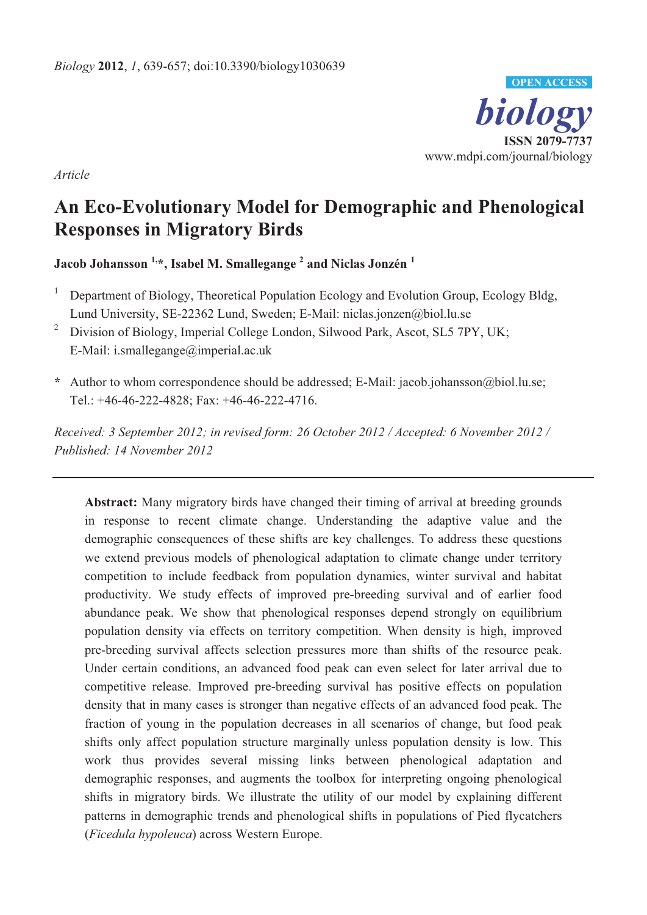

*Article* 

# **An Eco-Evolutionary Model for Demographic and Phenological Responses in Migratory Birds**

**Jacob Johansson 1,\*, Isabel M. Smallegange 2 and Niclas Jonzén <sup>1</sup>**

- 1 Department of Biology, Theoretical Population Ecology and Evolution Group, Ecology Bldg, Lund University, SE-22362 Lund, Sweden; E-Mail: niclas.jonzen@biol.lu.se
- <sup>2</sup> Division of Biology, Imperial College London, Silwood Park, Ascot, SL5 7PY, UK; E-Mail: i.smallegange@imperial.ac.uk
- **\*** Author to whom correspondence should be addressed; E-Mail: jacob.johansson@biol.lu.se; Tel.: +46-46-222-4828; Fax: +46-46-222-4716.

*Received: 3 September 2012; in revised form: 26 October 2012 / Accepted: 6 November 2012 / Published: 14 November 2012* 

**Abstract:** Many migratory birds have changed their timing of arrival at breeding grounds in response to recent climate change. Understanding the adaptive value and the demographic consequences of these shifts are key challenges. To address these questions we extend previous models of phenological adaptation to climate change under territory competition to include feedback from population dynamics, winter survival and habitat productivity. We study effects of improved pre-breeding survival and of earlier food abundance peak. We show that phenological responses depend strongly on equilibrium population density via effects on territory competition. When density is high, improved pre-breeding survival affects selection pressures more than shifts of the resource peak. Under certain conditions, an advanced food peak can even select for later arrival due to competitive release. Improved pre-breeding survival has positive effects on population density that in many cases is stronger than negative effects of an advanced food peak. The fraction of young in the population decreases in all scenarios of change, but food peak shifts only affect population structure marginally unless population density is low. This work thus provides several missing links between phenological adaptation and demographic responses, and augments the toolbox for interpreting ongoing phenological shifts in migratory birds. We illustrate the utility of our model by explaining different patterns in demographic trends and phenological shifts in populations of Pied flycatchers (*Ficedula hypoleuca*) across Western Europe.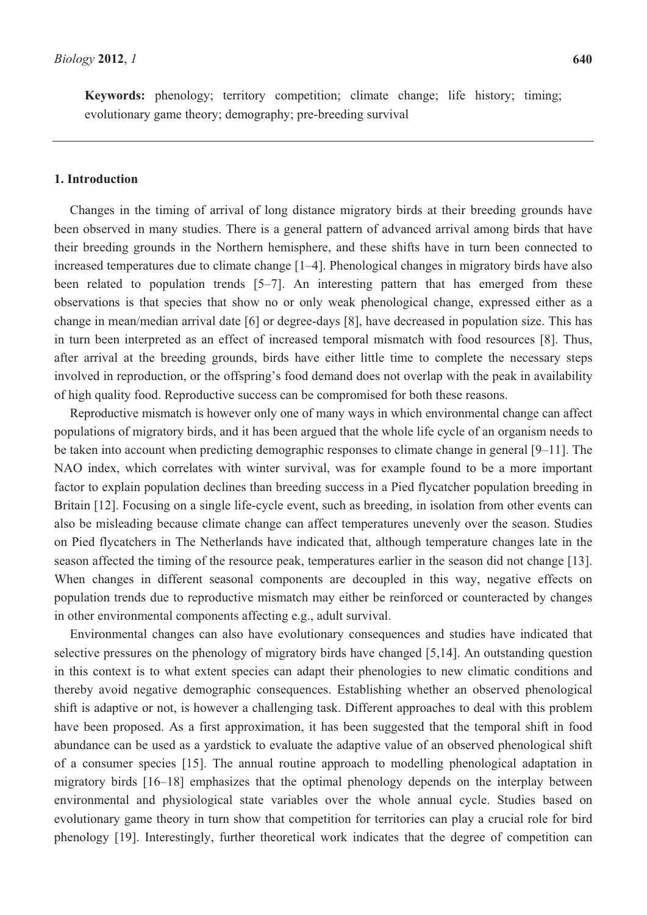**Keywords:** phenology; territory competition; climate change; life history; timing; evolutionary game theory; demography; pre-breeding survival

## **1. Introduction**

Changes in the timing of arrival of long distance migratory birds at their breeding grounds have been observed in many studies. There is a general pattern of advanced arrival among birds that have their breeding grounds in the Northern hemisphere, and these shifts have in turn been connected to increased temperatures due to climate change [1–4]. Phenological changes in migratory birds have also been related to population trends [5–7]. An interesting pattern that has emerged from these observations is that species that show no or only weak phenological change, expressed either as a change in mean/median arrival date [6] or degree-days [8], have decreased in population size. This has in turn been interpreted as an effect of increased temporal mismatch with food resources [8]. Thus, after arrival at the breeding grounds, birds have either little time to complete the necessary steps involved in reproduction, or the offspring's food demand does not overlap with the peak in availability of high quality food. Reproductive success can be compromised for both these reasons.

Reproductive mismatch is however only one of many ways in which environmental change can affect populations of migratory birds, and it has been argued that the whole life cycle of an organism needs to be taken into account when predicting demographic responses to climate change in general [9–11]. The NAO index, which correlates with winter survival, was for example found to be a more important factor to explain population declines than breeding success in a Pied flycatcher population breeding in Britain [12]. Focusing on a single life-cycle event, such as breeding, in isolation from other events can also be misleading because climate change can affect temperatures unevenly over the season. Studies on Pied flycatchers in The Netherlands have indicated that, although temperature changes late in the season affected the timing of the resource peak, temperatures earlier in the season did not change [13]. When changes in different seasonal components are decoupled in this way, negative effects on population trends due to reproductive mismatch may either be reinforced or counteracted by changes in other environmental components affecting e.g., adult survival.

Environmental changes can also have evolutionary consequences and studies have indicated that selective pressures on the phenology of migratory birds have changed [5,14]. An outstanding question in this context is to what extent species can adapt their phenologies to new climatic conditions and thereby avoid negative demographic consequences. Establishing whether an observed phenological shift is adaptive or not, is however a challenging task. Different approaches to deal with this problem have been proposed. As a first approximation, it has been suggested that the temporal shift in food abundance can be used as a yardstick to evaluate the adaptive value of an observed phenological shift of a consumer species [15]. The annual routine approach to modelling phenological adaptation in migratory birds [16–18] emphasizes that the optimal phenology depends on the interplay between environmental and physiological state variables over the whole annual cycle. Studies based on evolutionary game theory in turn show that competition for territories can play a crucial role for bird phenology [19]. Interestingly, further theoretical work indicates that the degree of competition can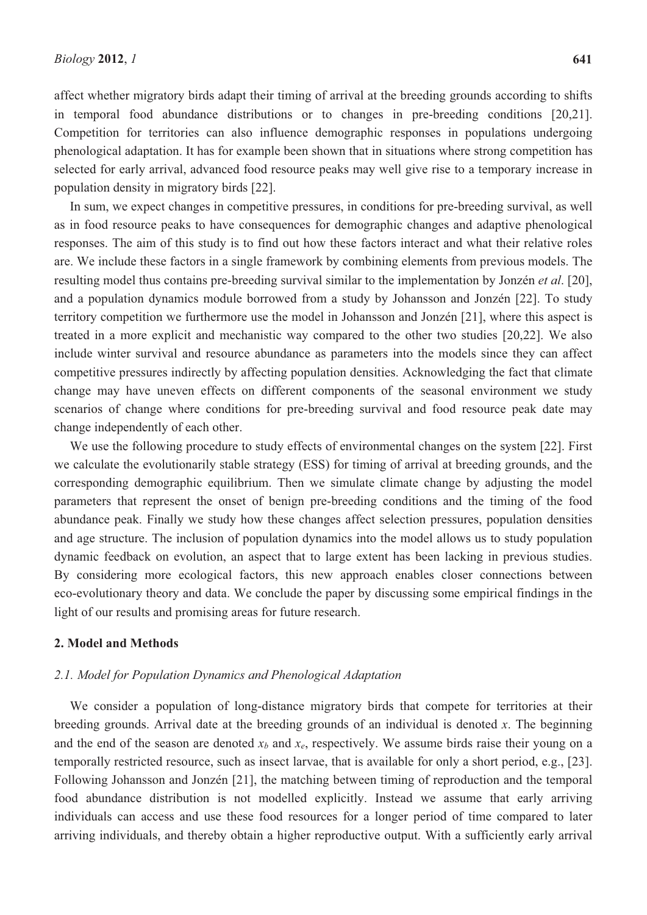affect whether migratory birds adapt their timing of arrival at the breeding grounds according to shifts in temporal food abundance distributions or to changes in pre-breeding conditions [20,21]. Competition for territories can also influence demographic responses in populations undergoing phenological adaptation. It has for example been shown that in situations where strong competition has selected for early arrival, advanced food resource peaks may well give rise to a temporary increase in population density in migratory birds [22].

In sum, we expect changes in competitive pressures, in conditions for pre-breeding survival, as well as in food resource peaks to have consequences for demographic changes and adaptive phenological responses. The aim of this study is to find out how these factors interact and what their relative roles are. We include these factors in a single framework by combining elements from previous models. The resulting model thus contains pre-breeding survival similar to the implementation by Jonzén *et al*. [20], and a population dynamics module borrowed from a study by Johansson and Jonzén [22]. To study territory competition we furthermore use the model in Johansson and Jonzén [21], where this aspect is treated in a more explicit and mechanistic way compared to the other two studies [20,22]. We also include winter survival and resource abundance as parameters into the models since they can affect competitive pressures indirectly by affecting population densities. Acknowledging the fact that climate change may have uneven effects on different components of the seasonal environment we study scenarios of change where conditions for pre-breeding survival and food resource peak date may change independently of each other.

We use the following procedure to study effects of environmental changes on the system [22]. First we calculate the evolutionarily stable strategy (ESS) for timing of arrival at breeding grounds, and the corresponding demographic equilibrium. Then we simulate climate change by adjusting the model parameters that represent the onset of benign pre-breeding conditions and the timing of the food abundance peak. Finally we study how these changes affect selection pressures, population densities and age structure. The inclusion of population dynamics into the model allows us to study population dynamic feedback on evolution, an aspect that to large extent has been lacking in previous studies. By considering more ecological factors, this new approach enables closer connections between eco-evolutionary theory and data. We conclude the paper by discussing some empirical findings in the light of our results and promising areas for future research.

#### **2. Model and Methods**

# *2.1. Model for Population Dynamics and Phenological Adaptation*

We consider a population of long-distance migratory birds that compete for territories at their breeding grounds. Arrival date at the breeding grounds of an individual is denoted *x*. The beginning and the end of the season are denoted  $x_b$  and  $x_e$ , respectively. We assume birds raise their young on a temporally restricted resource, such as insect larvae, that is available for only a short period, e.g., [23]. Following Johansson and Jonzén [21], the matching between timing of reproduction and the temporal food abundance distribution is not modelled explicitly. Instead we assume that early arriving individuals can access and use these food resources for a longer period of time compared to later arriving individuals, and thereby obtain a higher reproductive output. With a sufficiently early arrival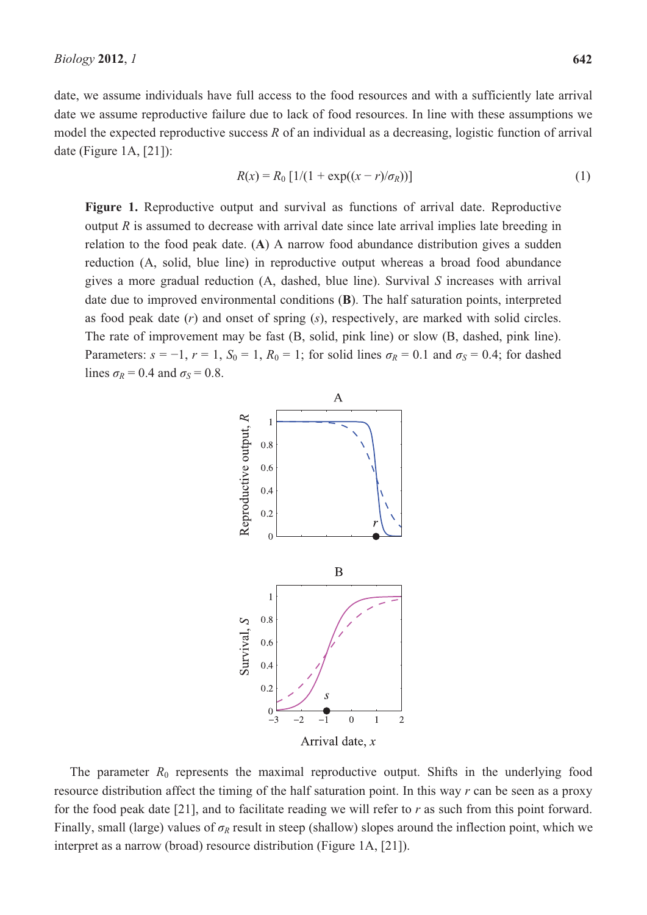date, we assume individuals have full access to the food resources and with a sufficiently late arrival date we assume reproductive failure due to lack of food resources. In line with these assumptions we model the expected reproductive success *R* of an individual as a decreasing, logistic function of arrival date (Figure 1A, [21]):

$$
R(x) = R_0 [1/(1 + \exp((x - r)/\sigma_R))]
$$
\n(1)

Figure 1. Reproductive output and survival as functions of arrival date. Reproductive output *R* is assumed to decrease with arrival date since late arrival implies late breeding in relation to the food peak date. (**A**) A narrow food abundance distribution gives a sudden reduction (A, solid, blue line) in reproductive output whereas a broad food abundance gives a more gradual reduction (A, dashed, blue line). Survival *S* increases with arrival date due to improved environmental conditions (**B**). The half saturation points, interpreted as food peak date (*r*) and onset of spring (*s*), respectively, are marked with solid circles. The rate of improvement may be fast (B, solid, pink line) or slow (B, dashed, pink line). Parameters:  $s = -1$ ,  $r = 1$ ,  $S_0 = 1$ ,  $R_0 = 1$ ; for solid lines  $\sigma_R = 0.1$  and  $\sigma_S = 0.4$ ; for dashed lines  $\sigma_R = 0.4$  and  $\sigma_S = 0.8$ .



The parameter  $R_0$  represents the maximal reproductive output. Shifts in the underlying food resource distribution affect the timing of the half saturation point. In this way *r* can be seen as a proxy for the food peak date [21], and to facilitate reading we will refer to *r* as such from this point forward. Finally, small (large) values of  $\sigma_R$  result in steep (shallow) slopes around the inflection point, which we interpret as a narrow (broad) resource distribution (Figure 1A, [21]).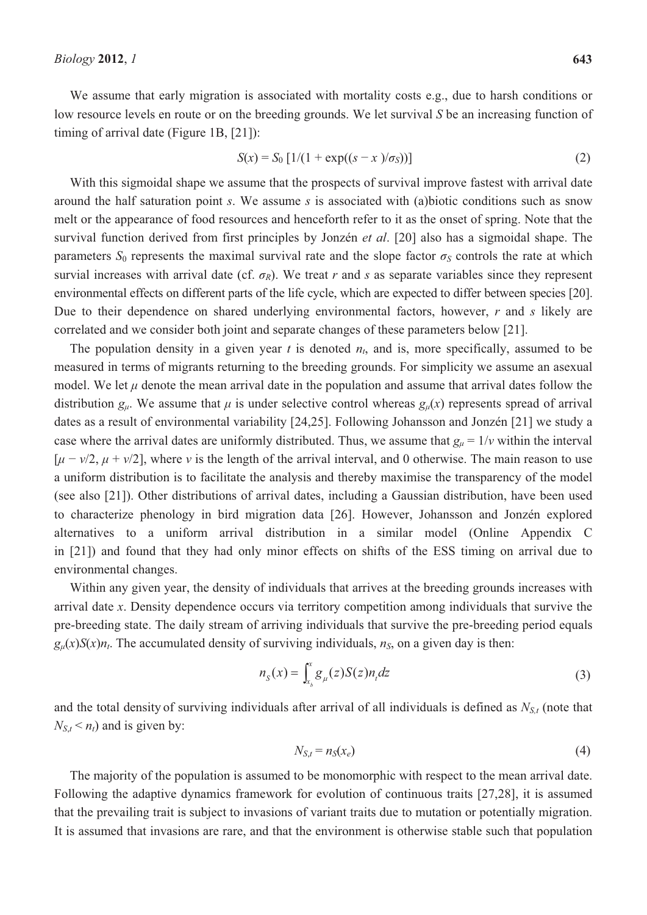We assume that early migration is associated with mortality costs e.g., due to harsh conditions or low resource levels en route or on the breeding grounds. We let survival *S* be an increasing function of timing of arrival date (Figure 1B, [21]):

$$
S(x) = S_0 \left[ \frac{1}{(1 + \exp((s - x)/\sigma_S))} \right]
$$
 (2)

With this sigmoidal shape we assume that the prospects of survival improve fastest with arrival date around the half saturation point *s*. We assume *s* is associated with (a)biotic conditions such as snow melt or the appearance of food resources and henceforth refer to it as the onset of spring. Note that the survival function derived from first principles by Jonzén *et al*. [20] also has a sigmoidal shape. The parameters  $S_0$  represents the maximal survival rate and the slope factor  $\sigma_S$  controls the rate at which survial increases with arrival date (cf.  $\sigma_R$ ). We treat *r* and *s* as separate variables since they represent environmental effects on different parts of the life cycle, which are expected to differ between species [20]. Due to their dependence on shared underlying environmental factors, however, *r* and *s* likely are correlated and we consider both joint and separate changes of these parameters below [21].

The population density in a given year  $t$  is denoted  $n_t$ , and is, more specifically, assumed to be measured in terms of migrants returning to the breeding grounds. For simplicity we assume an asexual model. We let  $\mu$  denote the mean arrival date in the population and assume that arrival dates follow the distribution  $g_u$ . We assume that  $\mu$  is under selective control whereas  $g_u(x)$  represents spread of arrival dates as a result of environmental variability [24,25]. Following Johansson and Jonzén [21] we study a case where the arrival dates are uniformly distributed. Thus, we assume that  $g_{\mu} = 1/v$  within the interval  $[\mu - \nu/2, \mu + \nu/2]$ , where *v* is the length of the arrival interval, and 0 otherwise. The main reason to use a uniform distribution is to facilitate the analysis and thereby maximise the transparency of the model (see also [21]). Other distributions of arrival dates, including a Gaussian distribution, have been used to characterize phenology in bird migration data [26]. However, Johansson and Jonzén explored alternatives to a uniform arrival distribution in a similar model (Online Appendix C in [21]) and found that they had only minor effects on shifts of the ESS timing on arrival due to environmental changes.

Within any given year, the density of individuals that arrives at the breeding grounds increases with arrival date *x*. Density dependence occurs via territory competition among individuals that survive the pre-breeding state. The daily stream of arriving individuals that survive the pre-breeding period equals  $g_{\mu}(x)S(x)n_{t}$ . The accumulated density of surviving individuals,  $n_{s}$ , on a given day is then:

$$
n_{S}(x) = \int_{x_{b}}^{x} g_{\mu}(z) S(z) n_{t} dz
$$
\n(3)

and the total density of surviving individuals after arrival of all individuals is defined as  $N_{S,t}$  (note that  $N_{S,t}$  <  $n_t$ ) and is given by:

$$
N_{S,t} = n_S(x_e) \tag{4}
$$

The majority of the population is assumed to be monomorphic with respect to the mean arrival date. Following the adaptive dynamics framework for evolution of continuous traits [27,28], it is assumed that the prevailing trait is subject to invasions of variant traits due to mutation or potentially migration. It is assumed that invasions are rare, and that the environment is otherwise stable such that population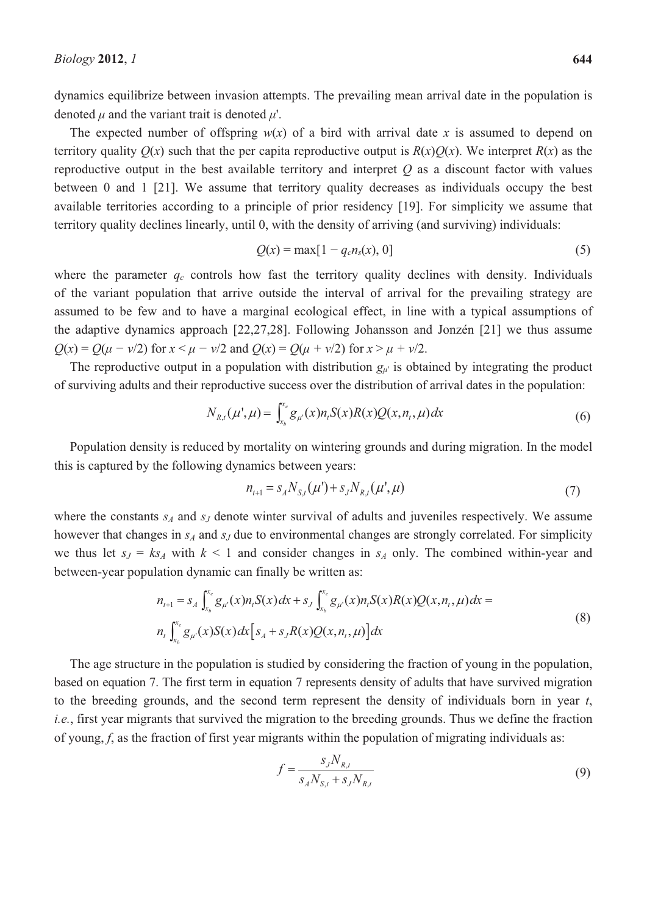dynamics equilibrize between invasion attempts. The prevailing mean arrival date in the population is denoted  $\mu$  and the variant trait is denoted  $\mu'$ .

The expected number of offspring  $w(x)$  of a bird with arrival date x is assumed to depend on territory quality  $O(x)$  such that the per capita reproductive output is  $R(x)O(x)$ . We interpret  $R(x)$  as the reproductive output in the best available territory and interpret *Q* as a discount factor with values between 0 and 1 [21]. We assume that territory quality decreases as individuals occupy the best available territories according to a principle of prior residency [19]. For simplicity we assume that territory quality declines linearly, until 0, with the density of arriving (and surviving) individuals:

$$
Q(x) = \max[1 - q_c n_s(x), 0]
$$
 (5)

where the parameter  $q_c$  controls how fast the territory quality declines with density. Individuals of the variant population that arrive outside the interval of arrival for the prevailing strategy are assumed to be few and to have a marginal ecological effect, in line with a typical assumptions of the adaptive dynamics approach [22,27,28]. Following Johansson and Jonzén [21] we thus assume  $Q(x) = Q(\mu - \nu/2)$  for  $x < \mu - \nu/2$  and  $Q(x) = Q(\mu + \nu/2)$  for  $x > \mu + \nu/2$ .

The reproductive output in a population with distribution  $g_{\mu}$  is obtained by integrating the product of surviving adults and their reproductive success over the distribution of arrival dates in the population:

$$
N_{R,t}(\mu',\mu) = \int_{x_b}^{x_c} g_{\mu'}(x) n_t S(x) R(x) Q(x, n_t, \mu) dx
$$
\n(6)

Population density is reduced by mortality on wintering grounds and during migration. In the model this is captured by the following dynamics between years:

$$
n_{t+1} = s_A N_{S,t}(\mu') + s_J N_{R,t}(\mu', \mu)
$$
\n(7)

where the constants  $s_A$  and  $s_J$  denote winter survival of adults and juveniles respectively. We assume however that changes in  $s_A$  and  $s_J$  due to environmental changes are strongly correlated. For simplicity we thus let  $s_1 = k s_4$  with  $k \le 1$  and consider changes in  $s_4$  only. The combined within-year and between-year population dynamic can finally be written as:

$$
n_{t+1} = s_A \int_{x_b}^{x_e} g_{\mu}(x) n_t S(x) dx + s_J \int_{x_b}^{x_e} g_{\mu}(x) n_t S(x) Q(x, n_t, \mu) dx =
$$
  
\n
$$
n_t \int_{x_b}^{x_e} g_{\mu}(x) S(x) dx \Big[ s_A + s_J R(x) Q(x, n_t, \mu) \Big] dx
$$
\n(8)

The age structure in the population is studied by considering the fraction of young in the population, based on equation 7. The first term in equation 7 represents density of adults that have survived migration to the breeding grounds, and the second term represent the density of individuals born in year *t*, *i.e.*, first year migrants that survived the migration to the breeding grounds. Thus we define the fraction of young, *f*, as the fraction of first year migrants within the population of migrating individuals as:

$$
f = \frac{s_J N_{R,t}}{s_A N_{S,t} + s_J N_{R,t}}
$$
(9)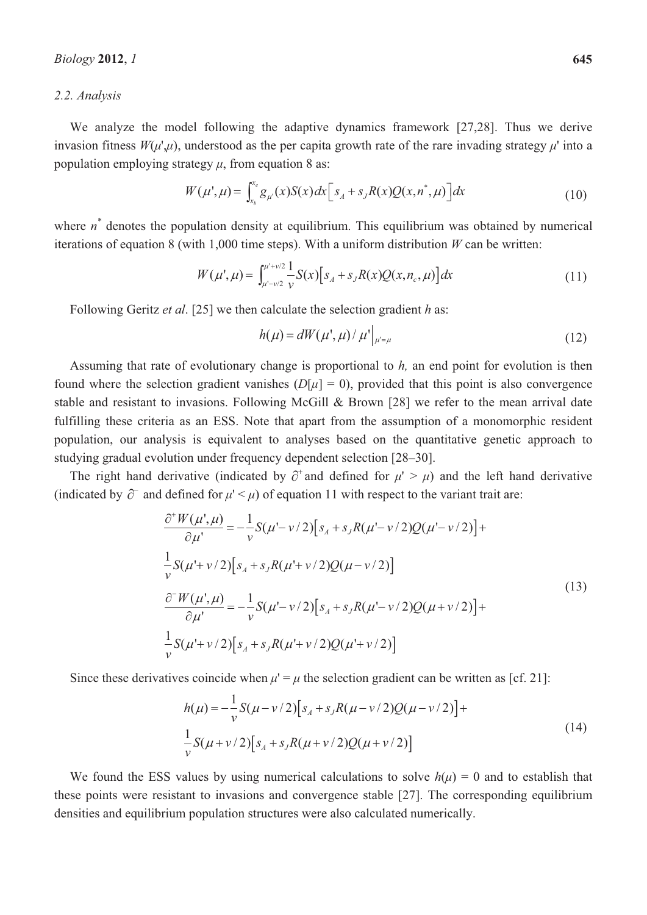#### *2.2. Analysis*

We analyze the model following the adaptive dynamics framework [27,28]. Thus we derive invasion fitness  $W(\mu', \mu)$ , understood as the per capita growth rate of the rare invading strategy  $\mu'$  into a population employing strategy  $\mu$ , from equation 8 as:

$$
W(\mu^{\prime}, \mu) = \int_{x_b}^{x_e} g_{\mu^{\prime}}(x) S(x) dx \Big[ s_A + s_J R(x) Q(x, n^{\ast}, \mu) \Big] dx \tag{10}
$$

where  $n^*$  denotes the population density at equilibrium. This equilibrium was obtained by numerical iterations of equation 8 (with 1,000 time steps). With a uniform distribution *W* can be written:

$$
W(\mu^{\prime}, \mu) = \int_{\mu^{\prime - \nu/2}}^{\mu^{\prime + \nu/2}} \frac{1}{\nu} S(x) \left[ s_A + s_J R(x) Q(x, n_c, \mu) \right] dx \tag{11}
$$

Following Geritz *et al*. [25] we then calculate the selection gradient *h* as:

$$
h(\mu) = dW(\mu^{\prime}, \mu) / \mu^{\prime}|_{\mu^{\prime} = \mu}
$$
\n(12)

Assuming that rate of evolutionary change is proportional to *h,* an end point for evolution is then found where the selection gradient vanishes  $(D[\mu] = 0)$ , provided that this point is also convergence stable and resistant to invasions. Following McGill & Brown [28] we refer to the mean arrival date fulfilling these criteria as an ESS. Note that apart from the assumption of a monomorphic resident population, our analysis is equivalent to analyses based on the quantitative genetic approach to studying gradual evolution under frequency dependent selection [28–30].

The right hand derivative (indicated by  $\partial^+$  and defined for  $\mu' > \mu$ ) and the left hand derivative (indicated by  $\partial^-$  and defined for  $\mu' < \mu$ ) of equation 11 with respect to the variant trait are:

$$
\frac{\partial^+ W(\mu^{\prime}, \mu)}{\partial \mu^{\prime}} = -\frac{1}{\nu} S(\mu^{\prime} - \nu/2) \Big[ s_A + s_J R(\mu^{\prime} - \nu/2) Q(\mu^{\prime} - \nu/2) \Big] +
$$
  
\n
$$
\frac{1}{\nu} S(\mu^{\prime} + \nu/2) \Big[ s_A + s_J R(\mu^{\prime} + \nu/2) Q(\mu - \nu/2) \Big]
$$
  
\n
$$
\frac{\partial^- W(\mu^{\prime}, \mu)}{\partial \mu^{\prime}} = -\frac{1}{\nu} S(\mu^{\prime} - \nu/2) \Big[ s_A + s_J R(\mu^{\prime} - \nu/2) Q(\mu + \nu/2) \Big] +
$$
  
\n
$$
\frac{1}{\nu} S(\mu^{\prime} + \nu/2) \Big[ s_A + s_J R(\mu^{\prime} + \nu/2) Q(\mu^{\prime} + \nu/2) \Big]
$$
\n(13)

Since these derivatives coincide when  $\mu' = \mu$  the selection gradient can be written as [cf. 21]:

$$
h(\mu) = -\frac{1}{\nu} S(\mu - \nu/2) [s_A + s_J R(\mu - \nu/2) Q(\mu - \nu/2)] +
$$
  
\n
$$
\frac{1}{\nu} S(\mu + \nu/2) [s_A + s_J R(\mu + \nu/2) Q(\mu + \nu/2)]
$$
\n(14)

We found the ESS values by using numerical calculations to solve  $h(\mu) = 0$  and to establish that these points were resistant to invasions and convergence stable [27]. The corresponding equilibrium densities and equilibrium population structures were also calculated numerically.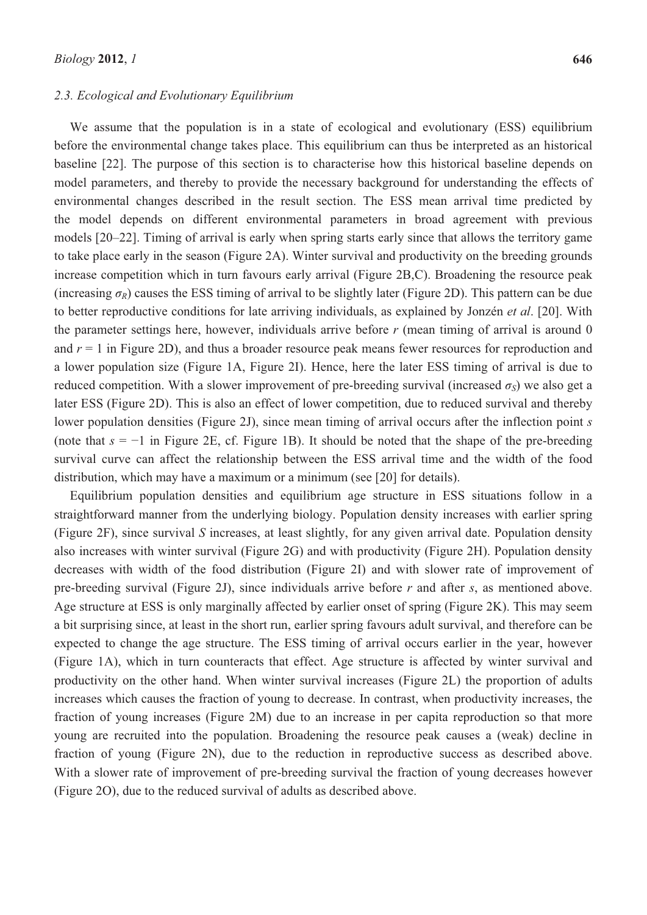#### *2.3. Ecological and Evolutionary Equilibrium*

We assume that the population is in a state of ecological and evolutionary (ESS) equilibrium before the environmental change takes place. This equilibrium can thus be interpreted as an historical baseline [22]. The purpose of this section is to characterise how this historical baseline depends on model parameters, and thereby to provide the necessary background for understanding the effects of environmental changes described in the result section. The ESS mean arrival time predicted by the model depends on different environmental parameters in broad agreement with previous models [20–22]. Timing of arrival is early when spring starts early since that allows the territory game to take place early in the season (Figure 2A). Winter survival and productivity on the breeding grounds increase competition which in turn favours early arrival (Figure 2B,C). Broadening the resource peak (increasing  $\sigma_R$ ) causes the ESS timing of arrival to be slightly later (Figure 2D). This pattern can be due to better reproductive conditions for late arriving individuals, as explained by Jonzén *et al*. [20]. With the parameter settings here, however, individuals arrive before *r* (mean timing of arrival is around 0 and  $r = 1$  in Figure 2D), and thus a broader resource peak means fewer resources for reproduction and a lower population size (Figure 1A, Figure 2I). Hence, here the later ESS timing of arrival is due to reduced competition. With a slower improvement of pre-breeding survival (increased  $\sigma_S$ ) we also get a later ESS (Figure 2D). This is also an effect of lower competition, due to reduced survival and thereby lower population densities (Figure 2J), since mean timing of arrival occurs after the inflection point *s* (note that  $s = -1$  in Figure 2E, cf. Figure 1B). It should be noted that the shape of the pre-breeding survival curve can affect the relationship between the ESS arrival time and the width of the food distribution, which may have a maximum or a minimum (see [20] for details).

Equilibrium population densities and equilibrium age structure in ESS situations follow in a straightforward manner from the underlying biology. Population density increases with earlier spring (Figure 2F), since survival *S* increases, at least slightly, for any given arrival date. Population density also increases with winter survival (Figure 2G) and with productivity (Figure 2H). Population density decreases with width of the food distribution (Figure 2I) and with slower rate of improvement of pre-breeding survival (Figure 2J), since individuals arrive before *r* and after *s*, as mentioned above. Age structure at ESS is only marginally affected by earlier onset of spring (Figure 2K). This may seem a bit surprising since, at least in the short run, earlier spring favours adult survival, and therefore can be expected to change the age structure. The ESS timing of arrival occurs earlier in the year, however (Figure 1A), which in turn counteracts that effect. Age structure is affected by winter survival and productivity on the other hand. When winter survival increases (Figure 2L) the proportion of adults increases which causes the fraction of young to decrease. In contrast, when productivity increases, the fraction of young increases (Figure 2M) due to an increase in per capita reproduction so that more young are recruited into the population. Broadening the resource peak causes a (weak) decline in fraction of young (Figure 2N), due to the reduction in reproductive success as described above. With a slower rate of improvement of pre-breeding survival the fraction of young decreases however (Figure 2O), due to the reduced survival of adults as described above.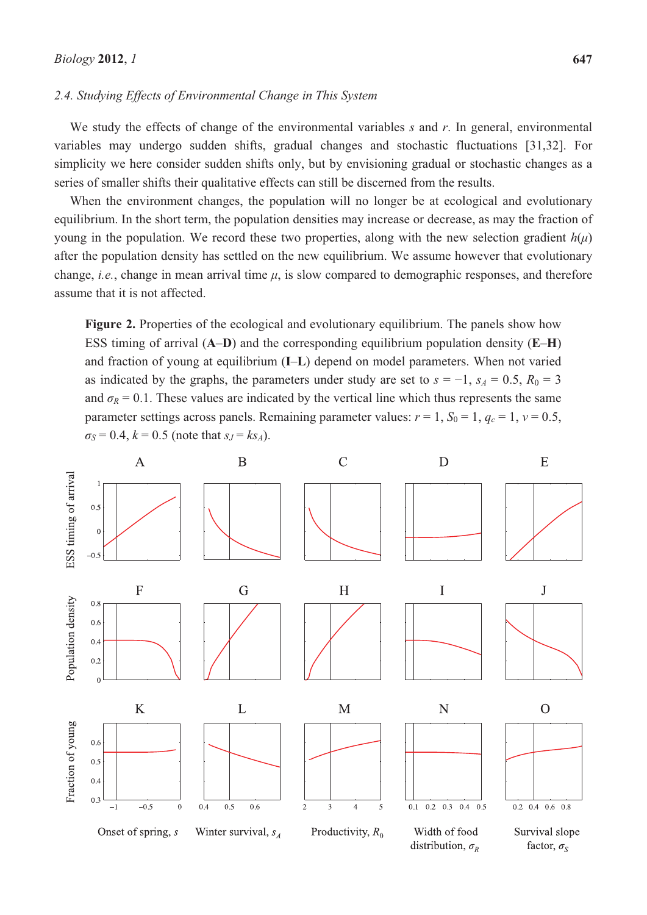#### *2.4. Studying Effects of Environmental Change in This System*

We study the effects of change of the environmental variables *s* and *r*. In general, environmental variables may undergo sudden shifts, gradual changes and stochastic fluctuations [31,32]. For simplicity we here consider sudden shifts only, but by envisioning gradual or stochastic changes as a series of smaller shifts their qualitative effects can still be discerned from the results.

When the environment changes, the population will no longer be at ecological and evolutionary equilibrium. In the short term, the population densities may increase or decrease, as may the fraction of young in the population. We record these two properties, along with the new selection gradient  $h(\mu)$ after the population density has settled on the new equilibrium. We assume however that evolutionary change, *i.e.*, change in mean arrival time  $\mu$ , is slow compared to demographic responses, and therefore assume that it is not affected.

**Figure 2.** Properties of the ecological and evolutionary equilibrium. The panels show how ESS timing of arrival (**A**–**D**) and the corresponding equilibrium population density (**E**–**H**) and fraction of young at equilibrium (**I**–**L**) depend on model parameters. When not varied as indicated by the graphs, the parameters under study are set to  $s = -1$ ,  $s_A = 0.5$ ,  $R_0 = 3$ and  $\sigma_R$  = 0.1. These values are indicated by the vertical line which thus represents the same parameter settings across panels. Remaining parameter values:  $r = 1$ ,  $S_0 = 1$ ,  $q_c = 1$ ,  $v = 0.5$ ,  $\sigma_S = 0.4$ ,  $k = 0.5$  (note that  $s_J = k s_A$ ).

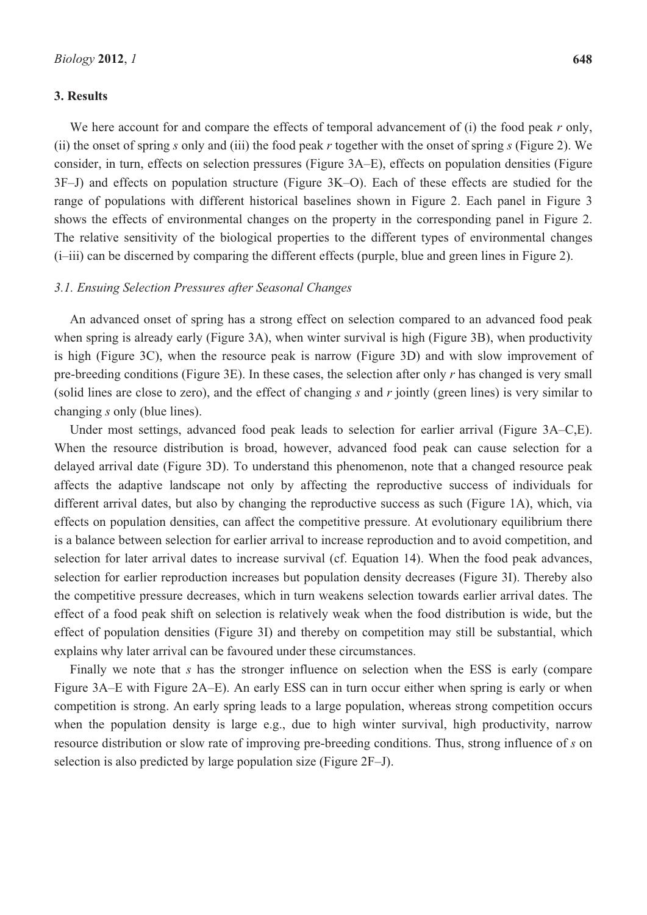# **3. Results**

We here account for and compare the effects of temporal advancement of (i) the food peak *r* only, (ii) the onset of spring *s* only and (iii) the food peak *r* together with the onset of spring *s* (Figure 2). We consider, in turn, effects on selection pressures (Figure 3A–E), effects on population densities (Figure 3F–J) and effects on population structure (Figure 3K–O). Each of these effects are studied for the range of populations with different historical baselines shown in Figure 2. Each panel in Figure 3 shows the effects of environmental changes on the property in the corresponding panel in Figure 2. The relative sensitivity of the biological properties to the different types of environmental changes (i–iii) can be discerned by comparing the different effects (purple, blue and green lines in Figure 2).

# *3.1. Ensuing Selection Pressures after Seasonal Changes*

An advanced onset of spring has a strong effect on selection compared to an advanced food peak when spring is already early (Figure 3A), when winter survival is high (Figure 3B), when productivity is high (Figure 3C), when the resource peak is narrow (Figure 3D) and with slow improvement of pre-breeding conditions (Figure 3E). In these cases, the selection after only *r* has changed is very small (solid lines are close to zero), and the effect of changing *s* and *r* jointly (green lines) is very similar to changing *s* only (blue lines).

Under most settings, advanced food peak leads to selection for earlier arrival (Figure 3A–C,E). When the resource distribution is broad, however, advanced food peak can cause selection for a delayed arrival date (Figure 3D). To understand this phenomenon, note that a changed resource peak affects the adaptive landscape not only by affecting the reproductive success of individuals for different arrival dates, but also by changing the reproductive success as such (Figure 1A), which, via effects on population densities, can affect the competitive pressure. At evolutionary equilibrium there is a balance between selection for earlier arrival to increase reproduction and to avoid competition, and selection for later arrival dates to increase survival (cf. Equation 14). When the food peak advances, selection for earlier reproduction increases but population density decreases (Figure 3I). Thereby also the competitive pressure decreases, which in turn weakens selection towards earlier arrival dates. The effect of a food peak shift on selection is relatively weak when the food distribution is wide, but the effect of population densities (Figure 3I) and thereby on competition may still be substantial, which explains why later arrival can be favoured under these circumstances.

Finally we note that *s* has the stronger influence on selection when the ESS is early (compare Figure 3A–E with Figure 2A–E). An early ESS can in turn occur either when spring is early or when competition is strong. An early spring leads to a large population, whereas strong competition occurs when the population density is large e.g., due to high winter survival, high productivity, narrow resource distribution or slow rate of improving pre-breeding conditions. Thus, strong influence of *s* on selection is also predicted by large population size (Figure 2F–J).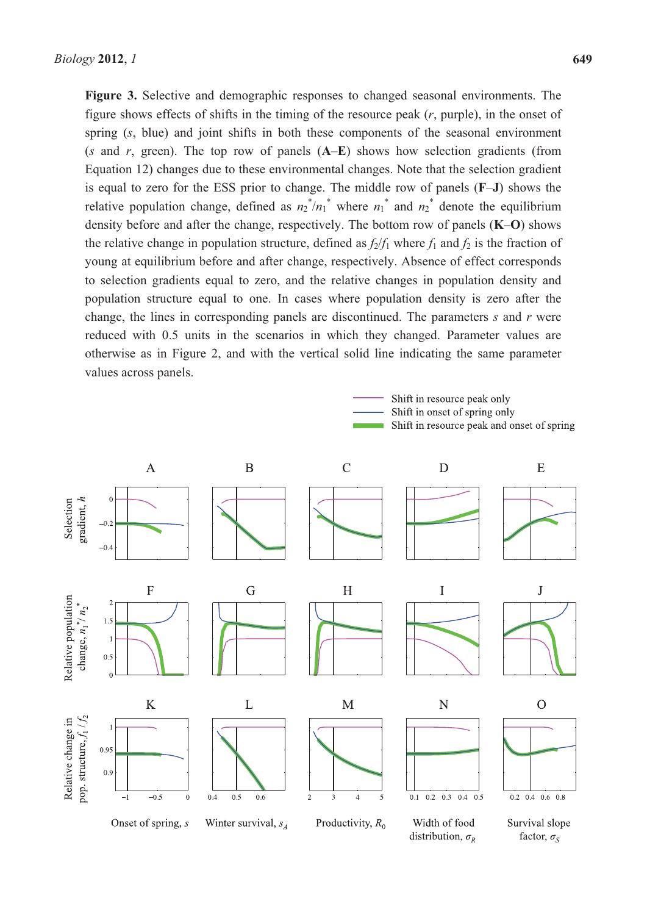**Figure 3.** Selective and demographic responses to changed seasonal environments. The figure shows effects of shifts in the timing of the resource peak (*r*, purple), in the onset of spring (*s*, blue) and joint shifts in both these components of the seasonal environment (*s* and *r*, green). The top row of panels (**A**–**E**) shows how selection gradients (from Equation 12) changes due to these environmental changes. Note that the selection gradient is equal to zero for the ESS prior to change. The middle row of panels (**F**–**J**) shows the relative population change, defined as  $n_2^*/n_1^*$  where  $n_1^*$  and  $n_2^*$  denote the equilibrium density before and after the change, respectively. The bottom row of panels (**K**–**O**) shows the relative change in population structure, defined as  $f_2/f_1$  where  $f_1$  and  $f_2$  is the fraction of young at equilibrium before and after change, respectively. Absence of effect corresponds to selection gradients equal to zero, and the relative changes in population density and population structure equal to one. In cases where population density is zero after the change, the lines in corresponding panels are discontinued. The parameters *s* and *r* were reduced with 0.5 units in the scenarios in which they changed. Parameter values are otherwise as in Figure 2, and with the vertical solid line indicating the same parameter values across panels.



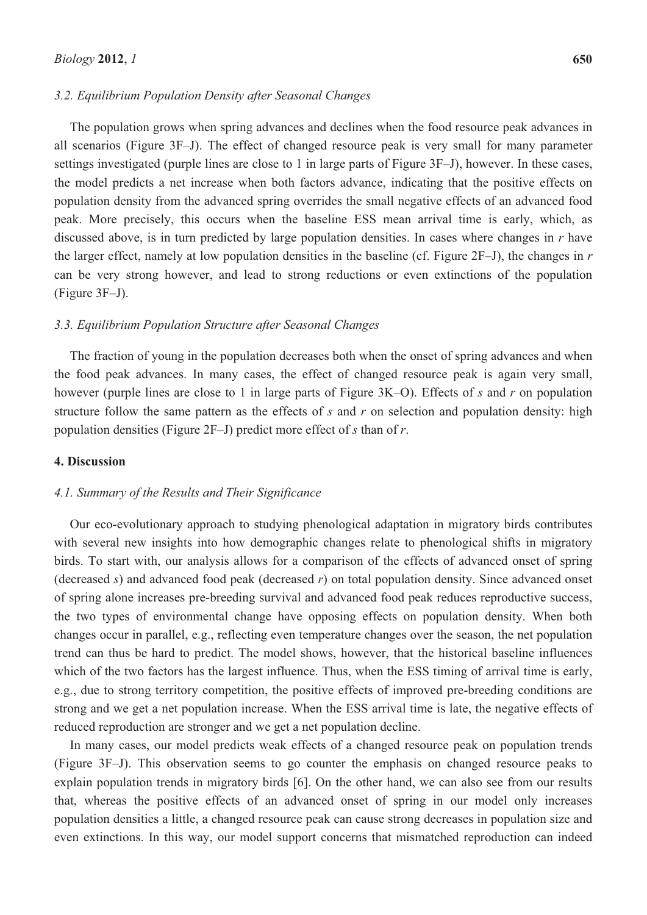#### *3.2. Equilibrium Population Density after Seasonal Changes*

The population grows when spring advances and declines when the food resource peak advances in all scenarios (Figure 3F–J). The effect of changed resource peak is very small for many parameter settings investigated (purple lines are close to 1 in large parts of Figure 3F–J), however. In these cases, the model predicts a net increase when both factors advance, indicating that the positive effects on population density from the advanced spring overrides the small negative effects of an advanced food peak. More precisely, this occurs when the baseline ESS mean arrival time is early, which, as discussed above, is in turn predicted by large population densities. In cases where changes in *r* have the larger effect, namely at low population densities in the baseline (cf. Figure 2F–J), the changes in *r* can be very strong however, and lead to strong reductions or even extinctions of the population (Figure 3F–J).

#### *3.3. Equilibrium Population Structure after Seasonal Changes*

The fraction of young in the population decreases both when the onset of spring advances and when the food peak advances. In many cases, the effect of changed resource peak is again very small, however (purple lines are close to 1 in large parts of Figure 3K–O). Effects of *s* and *r* on population structure follow the same pattern as the effects of *s* and *r* on selection and population density: high population densities (Figure 2F–J) predict more effect of *s* than of *r*.

## **4. Discussion**

#### *4.1. Summary of the Results and Their Significance*

Our eco-evolutionary approach to studying phenological adaptation in migratory birds contributes with several new insights into how demographic changes relate to phenological shifts in migratory birds. To start with, our analysis allows for a comparison of the effects of advanced onset of spring (decreased *s*) and advanced food peak (decreased *r*) on total population density. Since advanced onset of spring alone increases pre-breeding survival and advanced food peak reduces reproductive success, the two types of environmental change have opposing effects on population density. When both changes occur in parallel, e.g., reflecting even temperature changes over the season, the net population trend can thus be hard to predict. The model shows, however, that the historical baseline influences which of the two factors has the largest influence. Thus, when the ESS timing of arrival time is early, e.g., due to strong territory competition, the positive effects of improved pre-breeding conditions are strong and we get a net population increase. When the ESS arrival time is late, the negative effects of reduced reproduction are stronger and we get a net population decline.

In many cases, our model predicts weak effects of a changed resource peak on population trends (Figure 3F–J). This observation seems to go counter the emphasis on changed resource peaks to explain population trends in migratory birds [6]. On the other hand, we can also see from our results that, whereas the positive effects of an advanced onset of spring in our model only increases population densities a little, a changed resource peak can cause strong decreases in population size and even extinctions. In this way, our model support concerns that mismatched reproduction can indeed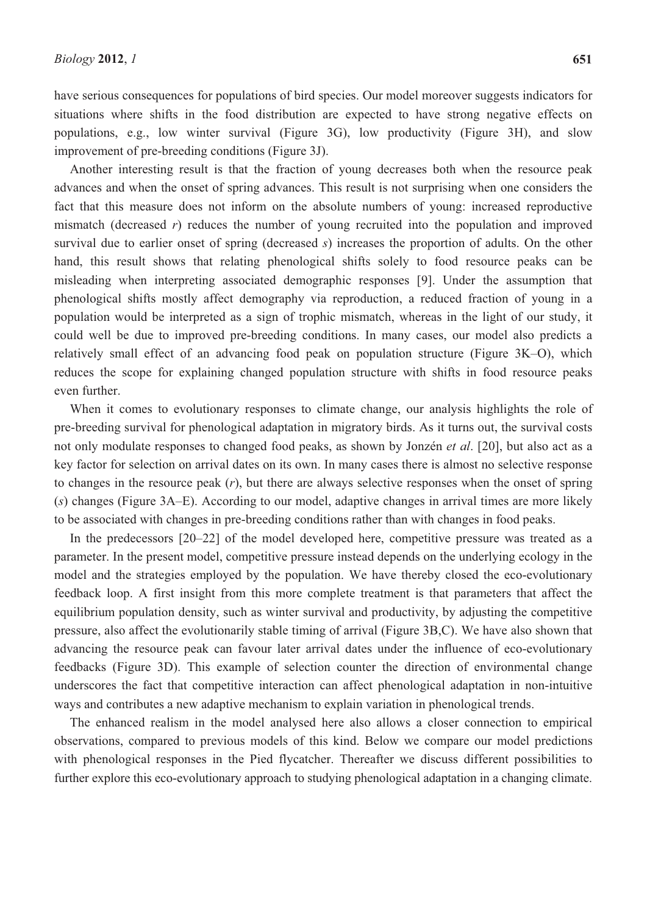have serious consequences for populations of bird species. Our model moreover suggests indicators for situations where shifts in the food distribution are expected to have strong negative effects on populations, e.g., low winter survival (Figure 3G), low productivity (Figure 3H), and slow improvement of pre-breeding conditions (Figure 3J).

Another interesting result is that the fraction of young decreases both when the resource peak advances and when the onset of spring advances. This result is not surprising when one considers the fact that this measure does not inform on the absolute numbers of young: increased reproductive mismatch (decreased *r*) reduces the number of young recruited into the population and improved survival due to earlier onset of spring (decreased *s*) increases the proportion of adults. On the other hand, this result shows that relating phenological shifts solely to food resource peaks can be misleading when interpreting associated demographic responses [9]. Under the assumption that phenological shifts mostly affect demography via reproduction, a reduced fraction of young in a population would be interpreted as a sign of trophic mismatch, whereas in the light of our study, it could well be due to improved pre-breeding conditions. In many cases, our model also predicts a relatively small effect of an advancing food peak on population structure (Figure 3K–O), which reduces the scope for explaining changed population structure with shifts in food resource peaks even further.

When it comes to evolutionary responses to climate change, our analysis highlights the role of pre-breeding survival for phenological adaptation in migratory birds. As it turns out, the survival costs not only modulate responses to changed food peaks, as shown by Jonzén *et al*. [20], but also act as a key factor for selection on arrival dates on its own. In many cases there is almost no selective response to changes in the resource peak (*r*), but there are always selective responses when the onset of spring (*s*) changes (Figure 3A–E). According to our model, adaptive changes in arrival times are more likely to be associated with changes in pre-breeding conditions rather than with changes in food peaks.

In the predecessors [20–22] of the model developed here, competitive pressure was treated as a parameter. In the present model, competitive pressure instead depends on the underlying ecology in the model and the strategies employed by the population. We have thereby closed the eco-evolutionary feedback loop. A first insight from this more complete treatment is that parameters that affect the equilibrium population density, such as winter survival and productivity, by adjusting the competitive pressure, also affect the evolutionarily stable timing of arrival (Figure 3B,C). We have also shown that advancing the resource peak can favour later arrival dates under the influence of eco-evolutionary feedbacks (Figure 3D). This example of selection counter the direction of environmental change underscores the fact that competitive interaction can affect phenological adaptation in non-intuitive ways and contributes a new adaptive mechanism to explain variation in phenological trends.

The enhanced realism in the model analysed here also allows a closer connection to empirical observations, compared to previous models of this kind. Below we compare our model predictions with phenological responses in the Pied flycatcher. Thereafter we discuss different possibilities to further explore this eco-evolutionary approach to studying phenological adaptation in a changing climate.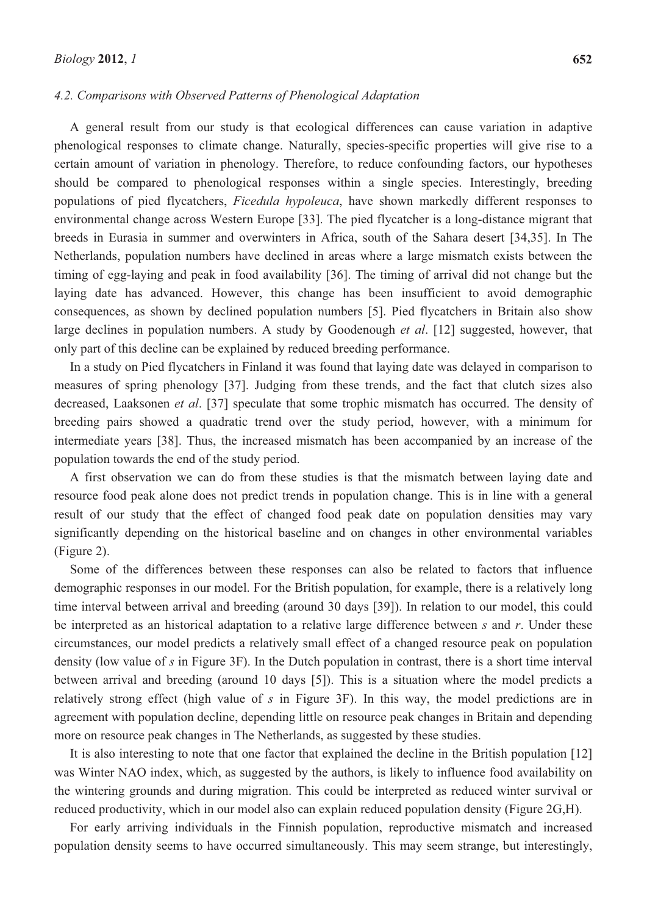#### *4.2. Comparisons with Observed Patterns of Phenological Adaptation*

A general result from our study is that ecological differences can cause variation in adaptive phenological responses to climate change. Naturally, species-specific properties will give rise to a certain amount of variation in phenology. Therefore, to reduce confounding factors, our hypotheses should be compared to phenological responses within a single species. Interestingly, breeding populations of pied flycatchers, *Ficedula hypoleuca*, have shown markedly different responses to environmental change across Western Europe [33]. The pied flycatcher is a long-distance migrant that breeds in Eurasia in summer and overwinters in Africa, south of the Sahara desert [34,35]. In The Netherlands, population numbers have declined in areas where a large mismatch exists between the timing of egg-laying and peak in food availability [36]. The timing of arrival did not change but the laying date has advanced. However, this change has been insufficient to avoid demographic consequences, as shown by declined population numbers [5]. Pied flycatchers in Britain also show large declines in population numbers. A study by Goodenough *et al*. [12] suggested, however, that only part of this decline can be explained by reduced breeding performance.

In a study on Pied flycatchers in Finland it was found that laying date was delayed in comparison to measures of spring phenology [37]. Judging from these trends, and the fact that clutch sizes also decreased, Laaksonen *et al*. [37] speculate that some trophic mismatch has occurred. The density of breeding pairs showed a quadratic trend over the study period, however, with a minimum for intermediate years [38]. Thus, the increased mismatch has been accompanied by an increase of the population towards the end of the study period.

A first observation we can do from these studies is that the mismatch between laying date and resource food peak alone does not predict trends in population change. This is in line with a general result of our study that the effect of changed food peak date on population densities may vary significantly depending on the historical baseline and on changes in other environmental variables (Figure 2).

Some of the differences between these responses can also be related to factors that influence demographic responses in our model. For the British population, for example, there is a relatively long time interval between arrival and breeding (around 30 days [39]). In relation to our model, this could be interpreted as an historical adaptation to a relative large difference between *s* and *r*. Under these circumstances, our model predicts a relatively small effect of a changed resource peak on population density (low value of *s* in Figure 3F). In the Dutch population in contrast, there is a short time interval between arrival and breeding (around 10 days [5]). This is a situation where the model predicts a relatively strong effect (high value of *s* in Figure 3F). In this way, the model predictions are in agreement with population decline, depending little on resource peak changes in Britain and depending more on resource peak changes in The Netherlands, as suggested by these studies.

It is also interesting to note that one factor that explained the decline in the British population [12] was Winter NAO index, which, as suggested by the authors, is likely to influence food availability on the wintering grounds and during migration. This could be interpreted as reduced winter survival or reduced productivity, which in our model also can explain reduced population density (Figure 2G,H).

For early arriving individuals in the Finnish population, reproductive mismatch and increased population density seems to have occurred simultaneously. This may seem strange, but interestingly,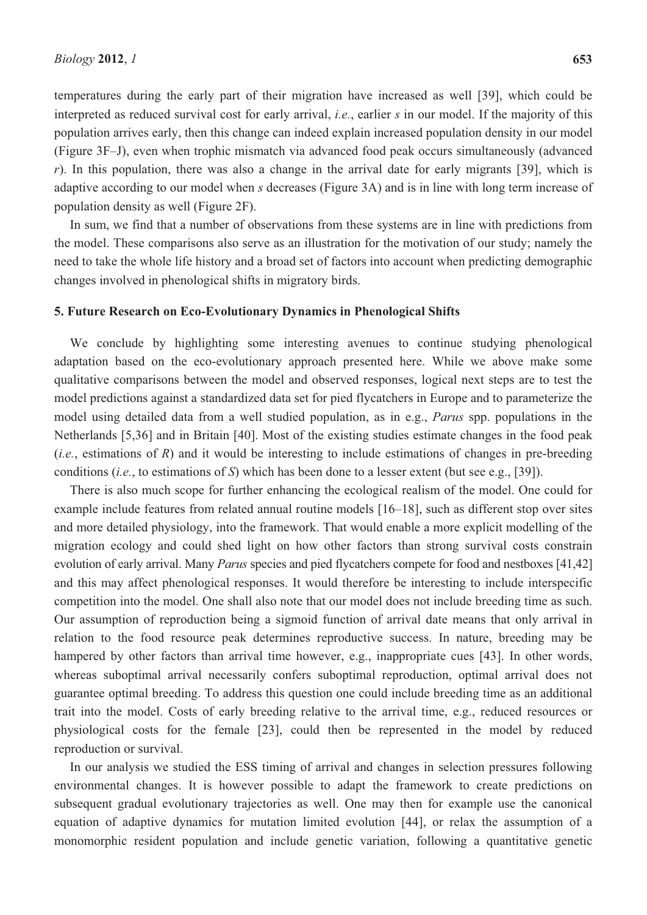temperatures during the early part of their migration have increased as well [39], which could be interpreted as reduced survival cost for early arrival, *i.e.*, earlier *s* in our model. If the majority of this population arrives early, then this change can indeed explain increased population density in our model (Figure 3F–J), even when trophic mismatch via advanced food peak occurs simultaneously (advanced *r*). In this population, there was also a change in the arrival date for early migrants [39], which is adaptive according to our model when *s* decreases (Figure 3A) and is in line with long term increase of population density as well (Figure 2F).

In sum, we find that a number of observations from these systems are in line with predictions from the model. These comparisons also serve as an illustration for the motivation of our study; namely the need to take the whole life history and a broad set of factors into account when predicting demographic changes involved in phenological shifts in migratory birds.

## **5. Future Research on Eco-Evolutionary Dynamics in Phenological Shifts**

We conclude by highlighting some interesting avenues to continue studying phenological adaptation based on the eco-evolutionary approach presented here. While we above make some qualitative comparisons between the model and observed responses, logical next steps are to test the model predictions against a standardized data set for pied flycatchers in Europe and to parameterize the model using detailed data from a well studied population, as in e.g., *Parus* spp. populations in the Netherlands [5,36] and in Britain [40]. Most of the existing studies estimate changes in the food peak (*i.e.*, estimations of *R*) and it would be interesting to include estimations of changes in pre-breeding conditions (*i.e.*, to estimations of *S*) which has been done to a lesser extent (but see e.g., [39]).

There is also much scope for further enhancing the ecological realism of the model. One could for example include features from related annual routine models [16–18], such as different stop over sites and more detailed physiology, into the framework. That would enable a more explicit modelling of the migration ecology and could shed light on how other factors than strong survival costs constrain evolution of early arrival. Many *Parus* species and pied flycatchers compete for food and nestboxes [41,42] and this may affect phenological responses. It would therefore be interesting to include interspecific competition into the model. One shall also note that our model does not include breeding time as such. Our assumption of reproduction being a sigmoid function of arrival date means that only arrival in relation to the food resource peak determines reproductive success. In nature, breeding may be hampered by other factors than arrival time however, e.g., inappropriate cues [43]. In other words, whereas suboptimal arrival necessarily confers suboptimal reproduction, optimal arrival does not guarantee optimal breeding. To address this question one could include breeding time as an additional trait into the model. Costs of early breeding relative to the arrival time, e.g., reduced resources or physiological costs for the female [23], could then be represented in the model by reduced reproduction or survival.

In our analysis we studied the ESS timing of arrival and changes in selection pressures following environmental changes. It is however possible to adapt the framework to create predictions on subsequent gradual evolutionary trajectories as well. One may then for example use the canonical equation of adaptive dynamics for mutation limited evolution [44], or relax the assumption of a monomorphic resident population and include genetic variation, following a quantitative genetic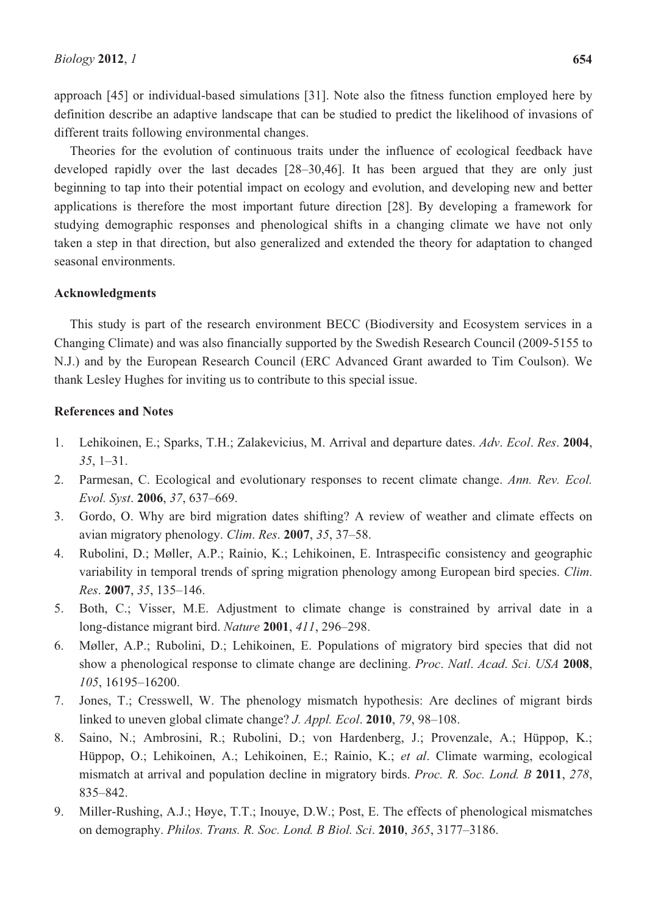approach [45] or individual-based simulations [31]. Note also the fitness function employed here by definition describe an adaptive landscape that can be studied to predict the likelihood of invasions of different traits following environmental changes.

Theories for the evolution of continuous traits under the influence of ecological feedback have developed rapidly over the last decades [28–30,46]. It has been argued that they are only just beginning to tap into their potential impact on ecology and evolution, and developing new and better applications is therefore the most important future direction [28]. By developing a framework for studying demographic responses and phenological shifts in a changing climate we have not only taken a step in that direction, but also generalized and extended the theory for adaptation to changed seasonal environments.

## **Acknowledgments**

This study is part of the research environment BECC (Biodiversity and Ecosystem services in a Changing Climate) and was also financially supported by the Swedish Research Council (2009-5155 to N.J.) and by the European Research Council (ERC Advanced Grant awarded to Tim Coulson). We thank Lesley Hughes for inviting us to contribute to this special issue.

## **References and Notes**

- 1. Lehikoinen, E.; Sparks, T.H.; Zalakevicius, M. Arrival and departure dates. *Adv*. *Ecol*. *Res*. **2004**, *35*, 1–31.
- 2. Parmesan, C. Ecological and evolutionary responses to recent climate change. *Ann. Rev. Ecol. Evol. Syst*. **2006**, *37*, 637–669.
- 3. Gordo, O. Why are bird migration dates shifting? A review of weather and climate effects on avian migratory phenology. *Clim*. *Res*. **2007**, *35*, 37–58.
- 4. Rubolini, D.; Møller, A.P.; Rainio, K.; Lehikoinen, E. Intraspecific consistency and geographic variability in temporal trends of spring migration phenology among European bird species. *Clim*. *Res*. **2007**, *35*, 135–146.
- 5. Both, C.; Visser, M.E. Adjustment to climate change is constrained by arrival date in a long-distance migrant bird. *Nature* **2001**, *411*, 296–298.
- 6. Møller, A.P.; Rubolini, D.; Lehikoinen, E. Populations of migratory bird species that did not show a phenological response to climate change are declining. *Proc*. *Natl*. *Acad*. *Sci*. *USA* **2008**, *105*, 16195–16200.
- 7. Jones, T.; Cresswell, W. The phenology mismatch hypothesis: Are declines of migrant birds linked to uneven global climate change? *J. Appl. Ecol*. **2010**, *79*, 98–108.
- 8. Saino, N.; Ambrosini, R.; Rubolini, D.; von Hardenberg, J.; Provenzale, A.; Hüppop, K.; Hüppop, O.; Lehikoinen, A.; Lehikoinen, E.; Rainio, K.; *et al*. Climate warming, ecological mismatch at arrival and population decline in migratory birds. *Proc. R. Soc. Lond. B* **2011**, *278*, 835–842.
- 9. Miller-Rushing, A.J.; Høye, T.T.; Inouye, D.W.; Post, E. The effects of phenological mismatches on demography. *Philos. Trans. R. Soc. Lond. B Biol. Sci*. **2010**, *365*, 3177–3186.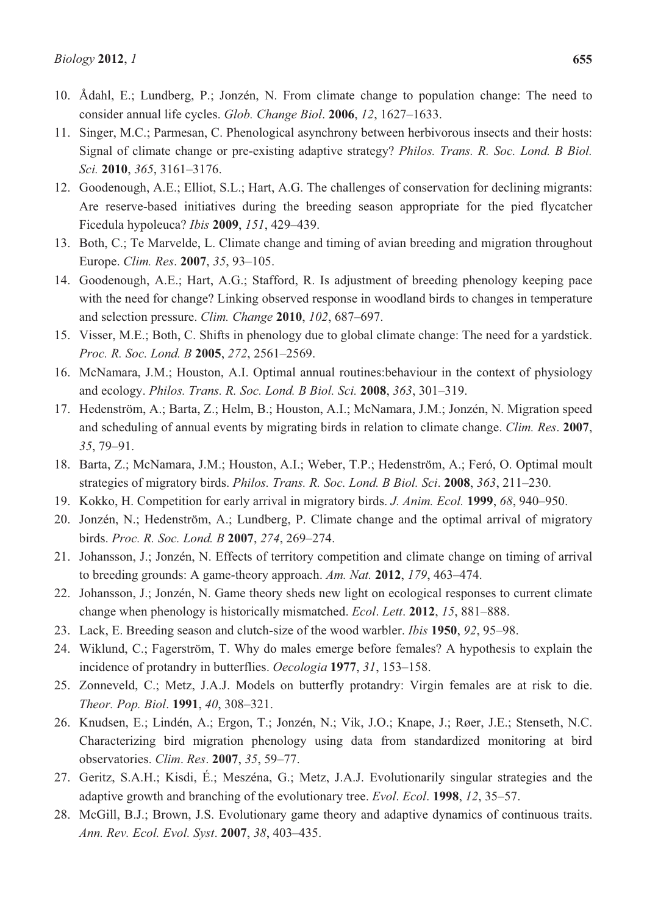- 10. Ådahl, E.; Lundberg, P.; Jonzén, N. From climate change to population change: The need to consider annual life cycles. *Glob. Change Biol*. **2006**, *12*, 1627–1633.
- 11. Singer, M.C.; Parmesan, C. Phenological asynchrony between herbivorous insects and their hosts: Signal of climate change or pre-existing adaptive strategy? *Philos. Trans. R. Soc. Lond. B Biol. Sci.* **2010**, *365*, 3161–3176.
- 12. Goodenough, A.E.; Elliot, S.L.; Hart, A.G. The challenges of conservation for declining migrants: Are reserve-based initiatives during the breeding season appropriate for the pied flycatcher Ficedula hypoleuca? *Ibis* **2009**, *151*, 429–439.
- 13. Both, C.; Te Marvelde, L. Climate change and timing of avian breeding and migration throughout Europe. *Clim. Res*. **2007**, *35*, 93–105.
- 14. Goodenough, A.E.; Hart, A.G.; Stafford, R. Is adjustment of breeding phenology keeping pace with the need for change? Linking observed response in woodland birds to changes in temperature and selection pressure. *Clim. Change* **2010**, *102*, 687–697.
- 15. Visser, M.E.; Both, C. Shifts in phenology due to global climate change: The need for a yardstick. *Proc. R. Soc. Lond. B* **2005**, *272*, 2561–2569.
- 16. McNamara, J.M.; Houston, A.I. Optimal annual routines:behaviour in the context of physiology and ecology. *Philos. Trans. R. Soc. Lond. B Biol. Sci.* **2008**, *363*, 301–319.
- 17. Hedenström, A.; Barta, Z.; Helm, B.; Houston, A.I.; McNamara, J.M.; Jonzén, N. Migration speed and scheduling of annual events by migrating birds in relation to climate change. *Clim. Res*. **2007**, *35*, 79–91.
- 18. Barta, Z.; McNamara, J.M.; Houston, A.I.; Weber, T.P.; Hedenström, A.; Feró, O. Optimal moult strategies of migratory birds. *Philos. Trans. R. Soc. Lond. B Biol. Sci*. **2008**, *363*, 211–230.
- 19. Kokko, H. Competition for early arrival in migratory birds. *J. Anim. Ecol.* **1999**, *68*, 940–950.
- 20. Jonzén, N.; Hedenström, A.; Lundberg, P. Climate change and the optimal arrival of migratory birds. *Proc. R. Soc. Lond. B* **2007**, *274*, 269–274.
- 21. Johansson, J.; Jonzén, N. Effects of territory competition and climate change on timing of arrival to breeding grounds: A game-theory approach. *Am. Nat.* **2012**, *179*, 463–474.
- 22. Johansson, J.; Jonzén, N. Game theory sheds new light on ecological responses to current climate change when phenology is historically mismatched. *Ecol*. *Lett*. **2012**, *15*, 881–888.
- 23. Lack, E. Breeding season and clutch-size of the wood warbler. *Ibis* **1950**, *92*, 95–98.
- 24. Wiklund, C.; Fagerström, T. Why do males emerge before females? A hypothesis to explain the incidence of protandry in butterflies. *Oecologia* **1977**, *31*, 153–158.
- 25. Zonneveld, C.; Metz, J.A.J. Models on butterfly protandry: Virgin females are at risk to die. *Theor. Pop. Biol*. **1991**, *40*, 308–321.
- 26. Knudsen, E.; Lindén, A.; Ergon, T.; Jonzén, N.; Vik, J.O.; Knape, J.; Røer, J.E.; Stenseth, N.C. Characterizing bird migration phenology using data from standardized monitoring at bird observatories. *Clim*. *Res*. **2007**, *35*, 59–77.
- 27. Geritz, S.A.H.; Kisdi, É.; Meszéna, G.; Metz, J.A.J. Evolutionarily singular strategies and the adaptive growth and branching of the evolutionary tree. *Evol*. *Ecol*. **1998**, *12*, 35–57.
- 28. McGill, B.J.; Brown, J.S. Evolutionary game theory and adaptive dynamics of continuous traits. *Ann. Rev. Ecol. Evol. Syst*. **2007**, *38*, 403–435.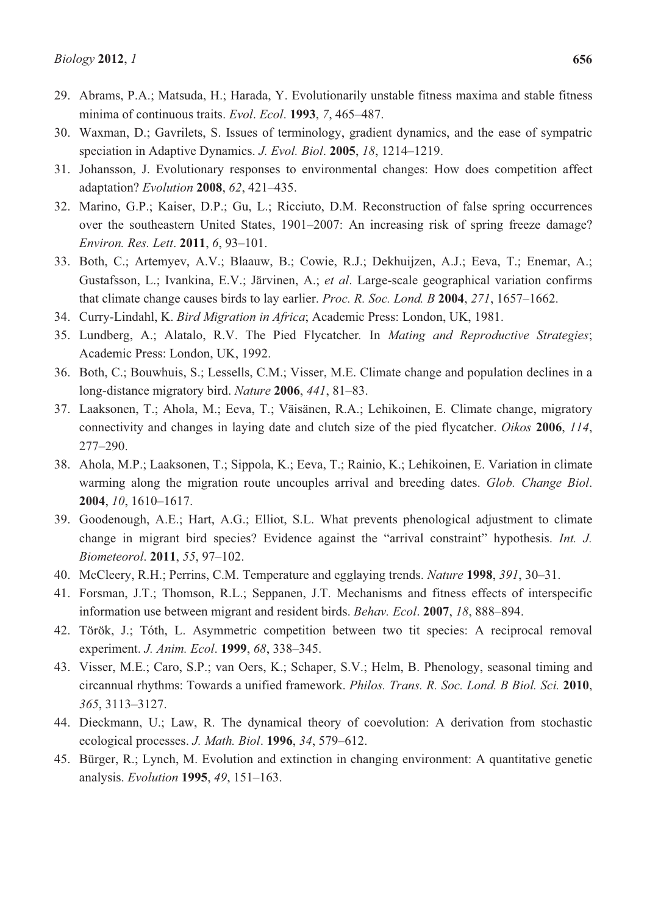- 30. Waxman, D.; Gavrilets, S. Issues of terminology, gradient dynamics, and the ease of sympatric speciation in Adaptive Dynamics. *J. Evol. Biol*. **2005**, *18*, 1214–1219.
- 31. Johansson, J. Evolutionary responses to environmental changes: How does competition affect adaptation? *Evolution* **2008**, *62*, 421–435.
- 32. Marino, G.P.; Kaiser, D.P.; Gu, L.; Ricciuto, D.M. Reconstruction of false spring occurrences over the southeastern United States, 1901–2007: An increasing risk of spring freeze damage? *Environ. Res. Lett*. **2011**, *6*, 93–101.
- 33. Both, C.; Artemyev, A.V.; Blaauw, B.; Cowie, R.J.; Dekhuijzen, A.J.; Eeva, T.; Enemar, A.; Gustafsson, L.; Ivankina, E.V.; Järvinen, A.; *et al*. Large-scale geographical variation confirms that climate change causes birds to lay earlier. *Proc. R. Soc. Lond. B* **2004**, *271*, 1657–1662.
- 34. Curry-Lindahl, K. *Bird Migration in Africa*; Academic Press: London, UK, 1981.
- 35. Lundberg, A.; Alatalo, R.V. The Pied Flycatcher*.* In *Mating and Reproductive Strategies*; Academic Press: London, UK, 1992.
- 36. Both, C.; Bouwhuis, S.; Lessells, C.M.; Visser, M.E. Climate change and population declines in a long-distance migratory bird. *Nature* **2006**, *441*, 81–83.
- 37. Laaksonen, T.; Ahola, M.; Eeva, T.; Väisänen, R.A.; Lehikoinen, E. Climate change, migratory connectivity and changes in laying date and clutch size of the pied flycatcher. *Oikos* **2006**, *114*, 277–290.
- 38. Ahola, M.P.; Laaksonen, T.; Sippola, K.; Eeva, T.; Rainio, K.; Lehikoinen, E. Variation in climate warming along the migration route uncouples arrival and breeding dates. *Glob. Change Biol*. **2004**, *10*, 1610–1617.
- 39. Goodenough, A.E.; Hart, A.G.; Elliot, S.L. What prevents phenological adjustment to climate change in migrant bird species? Evidence against the "arrival constraint" hypothesis. *Int. J. Biometeorol*. **2011**, *55*, 97–102.
- 40. McCleery, R.H.; Perrins, C.M. Temperature and egglaying trends. *Nature* **1998**, *391*, 30–31.
- 41. Forsman, J.T.; Thomson, R.L.; Seppanen, J.T. Mechanisms and fitness effects of interspecific information use between migrant and resident birds. *Behav. Ecol*. **2007**, *18*, 888–894.
- 42. Török, J.; Tóth, L. Asymmetric competition between two tit species: A reciprocal removal experiment. *J. Anim. Ecol*. **1999**, *68*, 338–345.
- 43. Visser, M.E.; Caro, S.P.; van Oers, K.; Schaper, S.V.; Helm, B. Phenology, seasonal timing and circannual rhythms: Towards a unified framework. *Philos. Trans. R. Soc. Lond. B Biol. Sci.* **2010**, *365*, 3113–3127.
- 44. Dieckmann, U.; Law, R. The dynamical theory of coevolution: A derivation from stochastic ecological processes. *J. Math. Biol*. **1996**, *34*, 579–612.
- 45. Bürger, R.; Lynch, M. Evolution and extinction in changing environment: A quantitative genetic analysis. *Evolution* **1995**, *49*, 151–163.